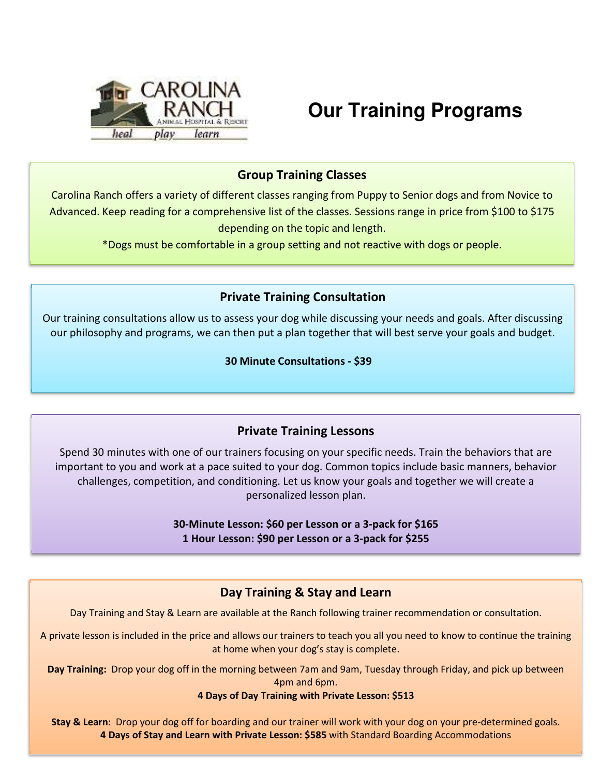

# **Our Training Programs**

## Group Training Classes

Carolina Ranch offers a variety of different classes ranging from Puppy to Senior dogs and from Novice to Advanced. Keep reading for a comprehensive list of the classes. Sessions range in price from \$100 to \$175 depending on the topic and length.

\*Dogs must be comfortable in a group setting and not reactive with dogs or people.

## Private Training Consultation

Our training consultations allow us to assess your dog while discussing your needs and goals. After discussing our philosophy and programs, we can then put a plan together that will best serve your goals and budget.

30 Minute Consultations - \$39

## Private Training Lessons

Spend 30 minutes with one of our trainers focusing on your specific needs. Train the behaviors that are important to you and work at a pace suited to your dog. Common topics include basic manners, behavior challenges, competition, and conditioning. Let us know your goals and together we will create a personalized lesson plan.

> 30-Minute Lesson: \$60 per Lesson or a 3-pack for \$165 1 Hour Lesson: \$90 per Lesson or a 3-pack for \$255

## Day Training & Stay and Learn

Day Training and Stay & Learn are available at the Ranch following trainer recommendation or consultation.

A private lesson is included in the price and allows our trainers to teach you all you need to know to continue the training at home when your dog's stay is complete.

Day Training: Drop your dog off in the morning between 7am and 9am, Tuesday through Friday, and pick up between 4pm and 6pm.

#### 4 Days of Day Training with Private Lesson: \$513

Stay & Learn: Drop your dog off for boarding and our trainer will work with your dog on your pre-determined goals. 4 Days of Stay and Learn with Private Lesson: \$585 with Standard Boarding Accommodations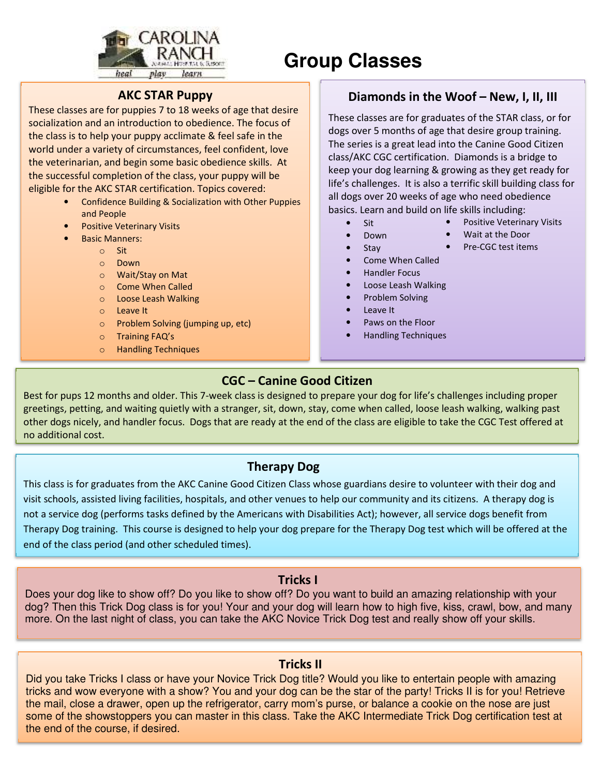

# **Group Classes**

#### AKC STAR Puppy

These classes are for puppies 7 to 18 weeks of age that desire socialization and an introduction to obedience. The focus of the class is to help your puppy acclimate & feel safe in the world under a variety of circumstances, feel confident, love the veterinarian, and begin some basic obedience skills. At the successful completion of the class, your puppy will be eligible for the AKC STAR certification. Topics covered:

- Confidence Building & Socialization with Other Puppies and People
- Positive Veterinary Visits
- Basic Manners:
	- o Sit
		- o Down
		- o Wait/Stay on Mat
		- o Come When Called
		- o Loose Leash Walking
		- o Leave It
		- o Problem Solving (jumping up, etc)
		- o Training FAQ's
		- o Handling Techniques

## Diamonds in the Woof – New, I, II, III

These classes are for graduates of the STAR class, or for dogs over 5 months of age that desire group training. The series is a great lead into the Canine Good Citizen class/AKC CGC certification. Diamonds is a bridge to keep your dog learning & growing as they get ready for life's challenges. It is also a terrific skill building class for all dogs over 20 weeks of age who need obedience basics. Learn and build on life skills including:

- Sit
- Positive Veterinary Visits
- Down
- Wait at the Door • Pre-CGC test items
- Stay
- Come When Called
- Handler Focus
- Loose Leash Walking
- Problem Solving
- Leave It
- Paws on the Floor
- Handling Techniques

#### CGC – Canine Good Citizen

Best for pups 12 months and older. This 7-week class is designed to prepare your dog for life's challenges including proper greetings, petting, and waiting quietly with a stranger, sit, down, stay, come when called, loose leash walking, walking past other dogs nicely, and handler focus. Dogs that are ready at the end of the class are eligible to take the CGC Test offered at no additional cost.

#### Therapy Dog

This class is for graduates from the AKC Canine Good Citizen Class whose guardians desire to volunteer with their dog and visit schools, assisted living facilities, hospitals, and other venues to help our community and its citizens. A therapy dog is not a service dog (performs tasks defined by the Americans with Disabilities Act); however, all service dogs benefit from Therapy Dog training. This course is designed to help your dog prepare for the Therapy Dog test which will be offered at the end of the class period (and other scheduled times).

#### Tricks I

Does your dog like to show off? Do you like to show off? Do you want to build an amazing relationship with your dog? Then this Trick Dog class is for you! Your and your dog will learn how to high five, kiss, crawl, bow, and many more. On the last night of class, you can take the AKC Novice Trick Dog test and really show off your skills.

#### Tricks II

Did you take Tricks I class or have your Novice Trick Dog title? Would you like to entertain people with amazing tricks and wow everyone with a show? You and your dog can be the star of the party! Tricks II is for you! Retrieve the mail, close a drawer, open up the refrigerator, carry mom's purse, or balance a cookie on the nose are just some of the showstoppers you can master in this class. Take the AKC Intermediate Trick Dog certification test at the end of the course, if desired.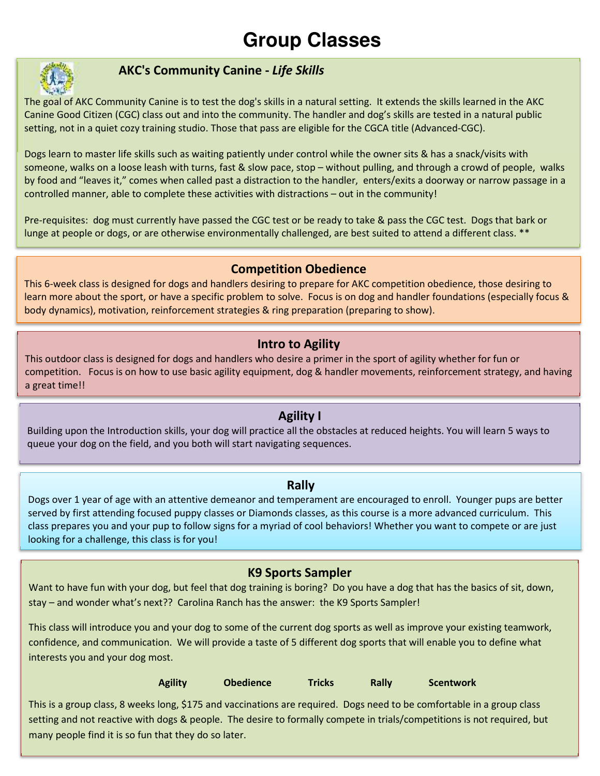# **Group Classes**



## AKC's Community Canine - Life Skills

The goal of AKC Community Canine is to test the dog's skills in a natural setting. It extends the skills learned in the AKC Canine Good Citizen (CGC) class out and into the community. The handler and dog's skills are tested in a natural public setting, not in a quiet cozy training studio. Those that pass are eligible for the CGCA title (Advanced-CGC).

Dogs learn to master life skills such as waiting patiently under control while the owner sits & has a snack/visits with someone, walks on a loose leash with turns, fast & slow pace, stop – without pulling, and through a crowd of people, walks by food and "leaves it," comes when called past a distraction to the handler, enters/exits a doorway or narrow passage in a controlled manner, able to complete these activities with distractions – out in the community!

Pre-requisites: dog must currently have passed the CGC test or be ready to take & pass the CGC test. Dogs that bark or lunge at people or dogs, or are otherwise environmentally challenged, are best suited to attend a different class. \*\*

## Competition Obedience

This 6-week class is designed for dogs and handlers desiring to prepare for AKC competition obedience, those desiring to learn more about the sport, or have a specific problem to solve. Focus is on dog and handler foundations (especially focus & body dynamics), motivation, reinforcement strategies & ring preparation (preparing to show).

#### Intro to Agility

This outdoor class is designed for dogs and handlers who desire a primer in the sport of agility whether for fun or competition. Focus is on how to use basic agility equipment, dog & handler movements, reinforcement strategy, and having a great time!!

## Agility I

Building upon the Introduction skills, your dog will practice all the obstacles at reduced heights. You will learn 5 ways to queue your dog on the field, and you both will start navigating sequences.

#### Rally

Dogs over 1 year of age with an attentive demeanor and temperament are encouraged to enroll. Younger pups are better served by first attending focused puppy classes or Diamonds classes, as this course is a more advanced curriculum. This class prepares you and your pup to follow signs for a myriad of cool behaviors! Whether you want to compete or are just looking for a challenge, this class is for you!

## K9 Sports Sampler

 stay – and wonder what's next?? Carolina Ranch has the answer: the K9 Sports Sampler! Want to have fun with your dog, but feel that dog training is boring? Do you have a dog that has the basics of sit, down,

This class will introduce you and your dog to some of the current dog sports as well as improve your existing teamwork, confidence, and communication. We will provide a taste of 5 different dog sports that will enable you to define what interests you and your dog most.

|                                                                                                                         | <b>Agility</b> | <b>Obedience</b> | <b>Tricks</b> | Rally | <b>Scentwork</b> |  |
|-------------------------------------------------------------------------------------------------------------------------|----------------|------------------|---------------|-------|------------------|--|
| This is a group class, 8 weeks long, \$175 and vaccinations are required. Dogs need to be comfortable in a group class  |                |                  |               |       |                  |  |
| setting and not reactive with dogs & people. The desire to formally compete in trials/competitions is not required, but |                |                  |               |       |                  |  |
| many people find it is so fun that they do so later.                                                                    |                |                  |               |       |                  |  |